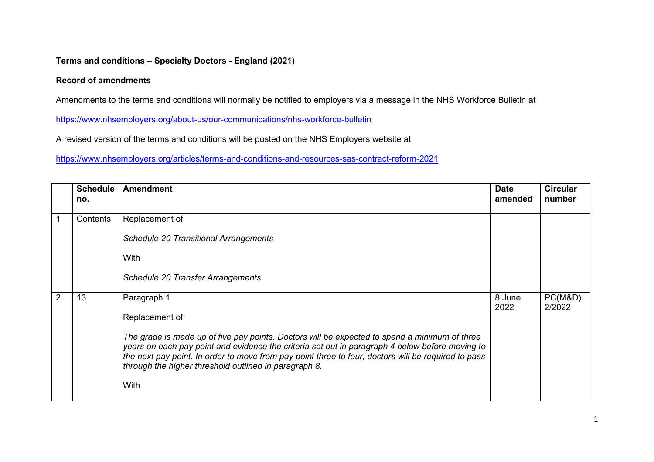## **Terms and conditions – Specialty Doctors - England (2021)**

## **Record of amendments**

Amendments to the terms and conditions will normally be notified to employers via a message in the NHS Workforce Bulletin at

<https://www.nhsemployers.org/about-us/our-communications/nhs-workforce-bulletin>

A revised version of the terms and conditions will be posted on the NHS Employers website at

<https://www.nhsemployers.org/articles/terms-and-conditions-and-resources-sas-contract-reform-2021>

|   | <b>Schedule</b><br>no. | <b>Amendment</b>                                                                                                                                                                                                                                                                                                                                                 | <b>Date</b><br>amended | <b>Circular</b><br>number |
|---|------------------------|------------------------------------------------------------------------------------------------------------------------------------------------------------------------------------------------------------------------------------------------------------------------------------------------------------------------------------------------------------------|------------------------|---------------------------|
|   |                        |                                                                                                                                                                                                                                                                                                                                                                  |                        |                           |
|   | Contents               | Replacement of                                                                                                                                                                                                                                                                                                                                                   |                        |                           |
|   |                        | <b>Schedule 20 Transitional Arrangements</b>                                                                                                                                                                                                                                                                                                                     |                        |                           |
|   |                        | With                                                                                                                                                                                                                                                                                                                                                             |                        |                           |
|   |                        | Schedule 20 Transfer Arrangements                                                                                                                                                                                                                                                                                                                                |                        |                           |
| 2 | 13                     | Paragraph 1                                                                                                                                                                                                                                                                                                                                                      | 8 June<br>2022         | PC(M&D)<br>2/2022         |
|   |                        | Replacement of                                                                                                                                                                                                                                                                                                                                                   |                        |                           |
|   |                        | The grade is made up of five pay points. Doctors will be expected to spend a minimum of three<br>years on each pay point and evidence the criteria set out in paragraph 4 below before moving to<br>the next pay point. In order to move from pay point three to four, doctors will be required to pass<br>through the higher threshold outlined in paragraph 8. |                        |                           |
|   |                        | With                                                                                                                                                                                                                                                                                                                                                             |                        |                           |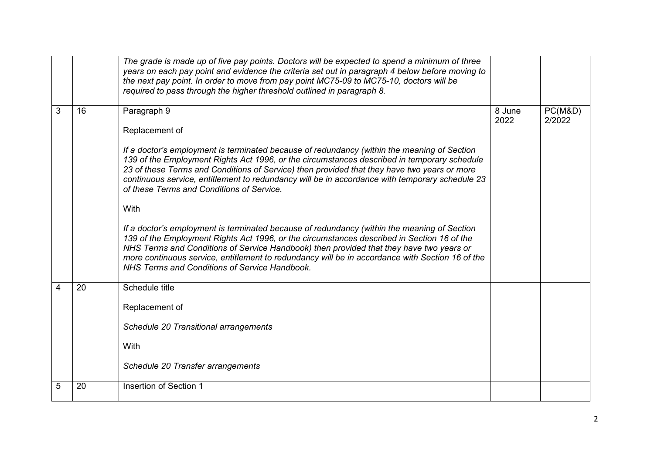|   |    | The grade is made up of five pay points. Doctors will be expected to spend a minimum of three<br>years on each pay point and evidence the criteria set out in paragraph 4 below before moving to<br>the next pay point. In order to move from pay point MC75-09 to MC75-10, doctors will be<br>required to pass through the higher threshold outlined in paragraph 8.                                                                                                                                                                                                                                                                                                                                                                                                                                                                                                                                                         |                |                   |
|---|----|-------------------------------------------------------------------------------------------------------------------------------------------------------------------------------------------------------------------------------------------------------------------------------------------------------------------------------------------------------------------------------------------------------------------------------------------------------------------------------------------------------------------------------------------------------------------------------------------------------------------------------------------------------------------------------------------------------------------------------------------------------------------------------------------------------------------------------------------------------------------------------------------------------------------------------|----------------|-------------------|
| 3 | 16 | Paragraph 9<br>Replacement of<br>If a doctor's employment is terminated because of redundancy (within the meaning of Section<br>139 of the Employment Rights Act 1996, or the circumstances described in temporary schedule<br>23 of these Terms and Conditions of Service) then provided that they have two years or more<br>continuous service, entitlement to redundancy will be in accordance with temporary schedule 23<br>of these Terms and Conditions of Service.<br>With<br>If a doctor's employment is terminated because of redundancy (within the meaning of Section<br>139 of the Employment Rights Act 1996, or the circumstances described in Section 16 of the<br>NHS Terms and Conditions of Service Handbook) then provided that they have two years or<br>more continuous service, entitlement to redundancy will be in accordance with Section 16 of the<br>NHS Terms and Conditions of Service Handbook. | 8 June<br>2022 | PC(M&D)<br>2/2022 |
| 4 | 20 | Schedule title<br>Replacement of<br>Schedule 20 Transitional arrangements<br>With<br>Schedule 20 Transfer arrangements                                                                                                                                                                                                                                                                                                                                                                                                                                                                                                                                                                                                                                                                                                                                                                                                        |                |                   |
| 5 | 20 | <b>Insertion of Section 1</b>                                                                                                                                                                                                                                                                                                                                                                                                                                                                                                                                                                                                                                                                                                                                                                                                                                                                                                 |                |                   |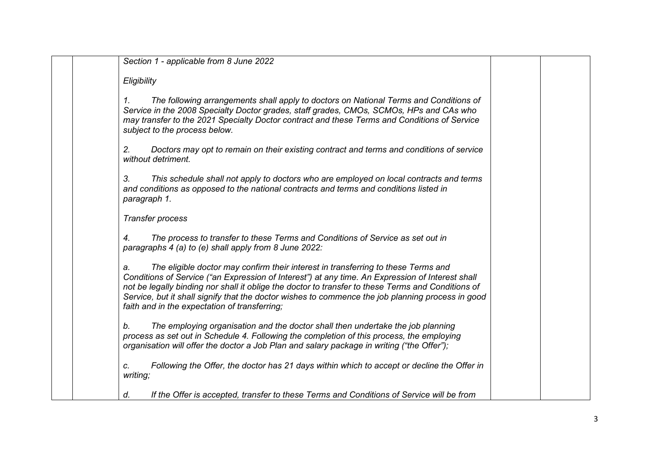| Section 1 - applicable from 8 June 2022                                                                                                                                                                                                                                                                                                                                                                                                                 |  |
|---------------------------------------------------------------------------------------------------------------------------------------------------------------------------------------------------------------------------------------------------------------------------------------------------------------------------------------------------------------------------------------------------------------------------------------------------------|--|
| Eligibility                                                                                                                                                                                                                                                                                                                                                                                                                                             |  |
| The following arrangements shall apply to doctors on National Terms and Conditions of<br>1.<br>Service in the 2008 Specialty Doctor grades, staff grades, CMOs, SCMOs, HPs and CAs who<br>may transfer to the 2021 Specialty Doctor contract and these Terms and Conditions of Service<br>subject to the process below.                                                                                                                                 |  |
| Doctors may opt to remain on their existing contract and terms and conditions of service<br>2.<br>without detriment.                                                                                                                                                                                                                                                                                                                                    |  |
| 3.<br>This schedule shall not apply to doctors who are employed on local contracts and terms<br>and conditions as opposed to the national contracts and terms and conditions listed in<br>paragraph 1.                                                                                                                                                                                                                                                  |  |
| Transfer process                                                                                                                                                                                                                                                                                                                                                                                                                                        |  |
| The process to transfer to these Terms and Conditions of Service as set out in<br>4.<br>paragraphs 4 (a) to (e) shall apply from 8 June 2022:                                                                                                                                                                                                                                                                                                           |  |
| The eligible doctor may confirm their interest in transferring to these Terms and<br>a.<br>Conditions of Service ("an Expression of Interest") at any time. An Expression of Interest shall<br>not be legally binding nor shall it oblige the doctor to transfer to these Terms and Conditions of<br>Service, but it shall signify that the doctor wishes to commence the job planning process in good<br>faith and in the expectation of transferring; |  |
| The employing organisation and the doctor shall then undertake the job planning<br>b.<br>process as set out in Schedule 4. Following the completion of this process, the employing<br>organisation will offer the doctor a Job Plan and salary package in writing ("the Offer");                                                                                                                                                                        |  |
| Following the Offer, the doctor has 21 days within which to accept or decline the Offer in<br>c.<br>writing;                                                                                                                                                                                                                                                                                                                                            |  |
| If the Offer is accepted, transfer to these Terms and Conditions of Service will be from<br>d.                                                                                                                                                                                                                                                                                                                                                          |  |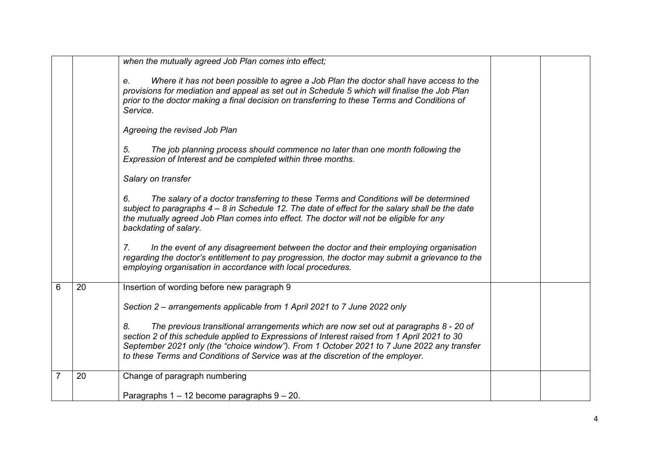|   |    | when the mutually agreed Job Plan comes into effect;                                                                                                                                                                                                                                                                                                                        |
|---|----|-----------------------------------------------------------------------------------------------------------------------------------------------------------------------------------------------------------------------------------------------------------------------------------------------------------------------------------------------------------------------------|
|   |    | Where it has not been possible to agree a Job Plan the doctor shall have access to the<br>e.<br>provisions for mediation and appeal as set out in Schedule 5 which will finalise the Job Plan<br>prior to the doctor making a final decision on transferring to these Terms and Conditions of<br>Service.                                                                   |
|   |    | Agreeing the revised Job Plan                                                                                                                                                                                                                                                                                                                                               |
|   |    | The job planning process should commence no later than one month following the<br>5.<br>Expression of Interest and be completed within three months.                                                                                                                                                                                                                        |
|   |    | Salary on transfer                                                                                                                                                                                                                                                                                                                                                          |
|   |    | The salary of a doctor transferring to these Terms and Conditions will be determined<br>6.<br>subject to paragraphs 4 – 8 in Schedule 12. The date of effect for the salary shall be the date<br>the mutually agreed Job Plan comes into effect. The doctor will not be eligible for any<br>backdating of salary.                                                           |
|   |    | In the event of any disagreement between the doctor and their employing organisation<br>7.<br>regarding the doctor's entitlement to pay progression, the doctor may submit a grievance to the<br>employing organisation in accordance with local procedures.                                                                                                                |
| 6 | 20 | Insertion of wording before new paragraph 9                                                                                                                                                                                                                                                                                                                                 |
|   |    | Section 2 – arrangements applicable from 1 April 2021 to 7 June 2022 only                                                                                                                                                                                                                                                                                                   |
|   |    | 8.<br>The previous transitional arrangements which are now set out at paragraphs 8 - 20 of<br>section 2 of this schedule applied to Expressions of Interest raised from 1 April 2021 to 30<br>September 2021 only (the "choice window"). From 1 October 2021 to 7 June 2022 any transfer<br>to these Terms and Conditions of Service was at the discretion of the employer. |
| 7 | 20 | Change of paragraph numbering                                                                                                                                                                                                                                                                                                                                               |
|   |    | Paragraphs $1 - 12$ become paragraphs $9 - 20$ .                                                                                                                                                                                                                                                                                                                            |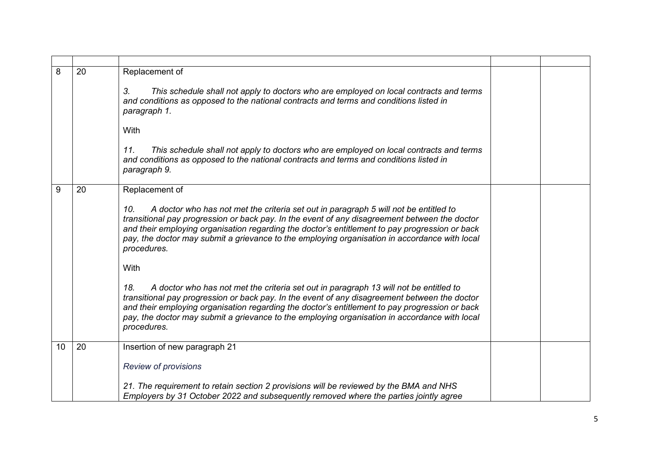| 8  | 20 | Replacement of<br>3.<br>This schedule shall not apply to doctors who are employed on local contracts and terms<br>and conditions as opposed to the national contracts and terms and conditions listed in<br>paragraph 1.<br>With<br>This schedule shall not apply to doctors who are employed on local contracts and terms<br>11.<br>and conditions as opposed to the national contracts and terms and conditions listed in<br>paragraph 9.                                                                                                                                                                                                                                                                                                                                                                                                                 |  |
|----|----|-------------------------------------------------------------------------------------------------------------------------------------------------------------------------------------------------------------------------------------------------------------------------------------------------------------------------------------------------------------------------------------------------------------------------------------------------------------------------------------------------------------------------------------------------------------------------------------------------------------------------------------------------------------------------------------------------------------------------------------------------------------------------------------------------------------------------------------------------------------|--|
| 9  | 20 | Replacement of<br>A doctor who has not met the criteria set out in paragraph 5 will not be entitled to<br>10.<br>transitional pay progression or back pay. In the event of any disagreement between the doctor<br>and their employing organisation regarding the doctor's entitlement to pay progression or back<br>pay, the doctor may submit a grievance to the employing organisation in accordance with local<br>procedures.<br>With<br>A doctor who has not met the criteria set out in paragraph 13 will not be entitled to<br>18.<br>transitional pay progression or back pay. In the event of any disagreement between the doctor<br>and their employing organisation regarding the doctor's entitlement to pay progression or back<br>pay, the doctor may submit a grievance to the employing organisation in accordance with local<br>procedures. |  |
| 10 | 20 | Insertion of new paragraph 21<br><b>Review of provisions</b><br>21. The requirement to retain section 2 provisions will be reviewed by the BMA and NHS<br>Employers by 31 October 2022 and subsequently removed where the parties jointly agree                                                                                                                                                                                                                                                                                                                                                                                                                                                                                                                                                                                                             |  |